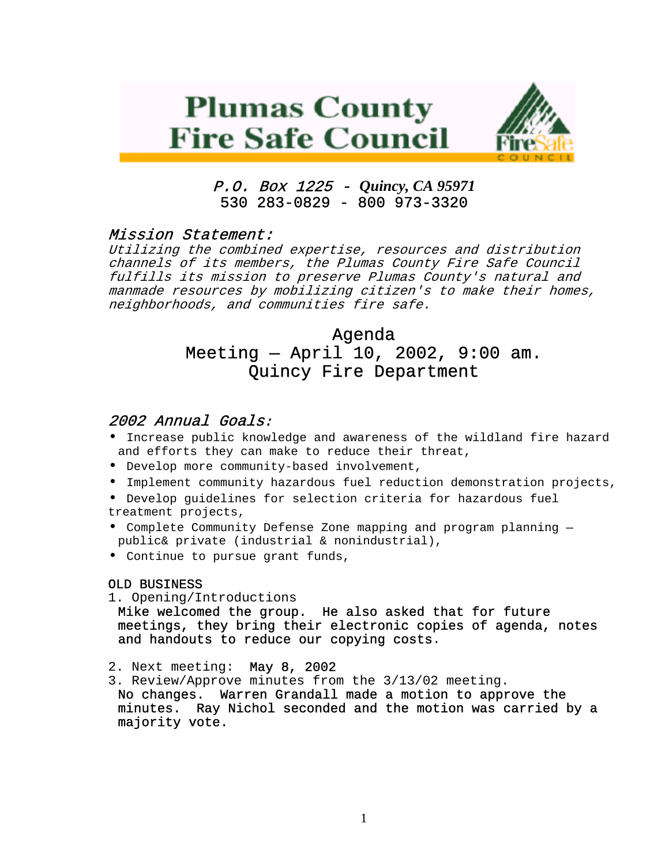# **Plumas County Fire Safe Council**



# P.O. Box 1225 - *Quincy, CA 95971*  530 283-0829 - 800 973-3320

## Mission Statement:

Utilizing the combined expertise, resources and distribution channels of its members, the Plumas County Fire Safe Council fulfills its mission to preserve Plumas County's natural and manmade resources by mobilizing citizen's to make their homes, neighborhoods, and communities fire safe.

## Agenda

# Meeting — April 10, 2002, 9:00 am. Quincy Fire Department

## 2002 Annual Goals:

- Increase public knowledge and awareness of the wildland fire hazard and efforts they can make to reduce their threat,
- Develop more community-based involvement,
- Implement community hazardous fuel reduction demonstration projects,
- Develop guidelines for selection criteria for hazardous fuel treatment projects,
- Complete Community Defense Zone mapping and program planning public& private (industrial & nonindustrial),
- Continue to pursue grant funds,

#### OLD BUSINESS

1. Opening/Introductions

Mike welcomed the group. He also asked that for future meetings, they bring their electronic copies of agenda, notes and handouts to reduce our copying costs.

- 2. Next meeting: May 8, 2002
- 3. Review/Approve minutes from the 3/13/02 meeting.

No changes. Warren Grandall made a motion to approve the minutes. Ray Nichol seconded and the motion was carried by a majority vote.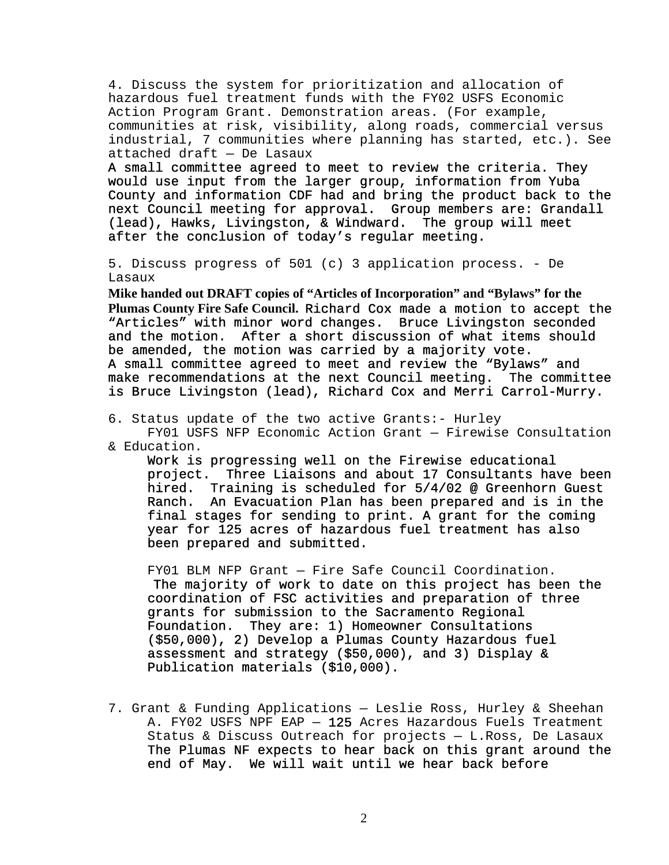4. Discuss the system for prioritization and allocation of hazardous fuel treatment funds with the FY02 USFS Economic Action Program Grant. Demonstration areas. (For example, communities at risk, visibility, along roads, commercial versus industrial, 7 communities where planning has started, etc.). See attached draft — De Lasaux

A small committee agreed to meet to review the criteria. They would use input from the larger group, information from Yuba County and information CDF had and bring the product back to the next Council meeting for approval. Group members are: Grandall (lead), Hawks, Livingston, & Windward. The group will meet after the conclusion of today's regular meeting.

5. Discuss progress of 501 (c) 3 application process. - De Lasaux

**Mike handed out DRAFT copies of "Articles of Incorporation" and "Bylaws" for the Plumas County Fire Safe Council.** Richard Cox made a motion to accept the "Articles" with minor word changes. Bruce Livingston seconded and the motion. After a short discussion of what items should be amended, the motion was carried by a majority vote. A small committee agreed to meet and review the "Bylaws" and make recommendations at the next Council meeting. The committee is Bruce Livingston (lead), Richard Cox and Merri Carrol-Murry.

6. Status update of the two active Grants:- Hurley

FY01 USFS NFP Economic Action Grant — Firewise Consultation & Education.

Work is progressing well on the Firewise educational project. Three Liaisons and about 17 Consultants have been hired. Training is scheduled for 5/4/02 @ Greenhorn Guest Ranch. An Evacuation Plan has been prepared and is in the final stages for sending to print. A grant for the coming year for 125 acres of hazardous fuel treatment has also been prepared and submitted.

FY01 BLM NFP Grant — Fire Safe Council Coordination. The majority of work to date on this project has been the coordination of FSC activities and preparation of three grants for submission to the Sacramento Regional Foundation. They are: 1) Homeowner Consultations (\$50,000), 2) Develop a Plumas County Hazardous fuel assessment and strategy (\$50,000), and 3) Display & Publication materials (\$10,000).

7. Grant & Funding Applications — Leslie Ross, Hurley & Sheehan A. FY02 USFS NPF EAP — 125 Acres Hazardous Fuels Treatment Status & Discuss Outreach for projects — L.Ross, De Lasaux The Plumas NF expects to hear back on this grant around the end of May. We will wait until we hear back before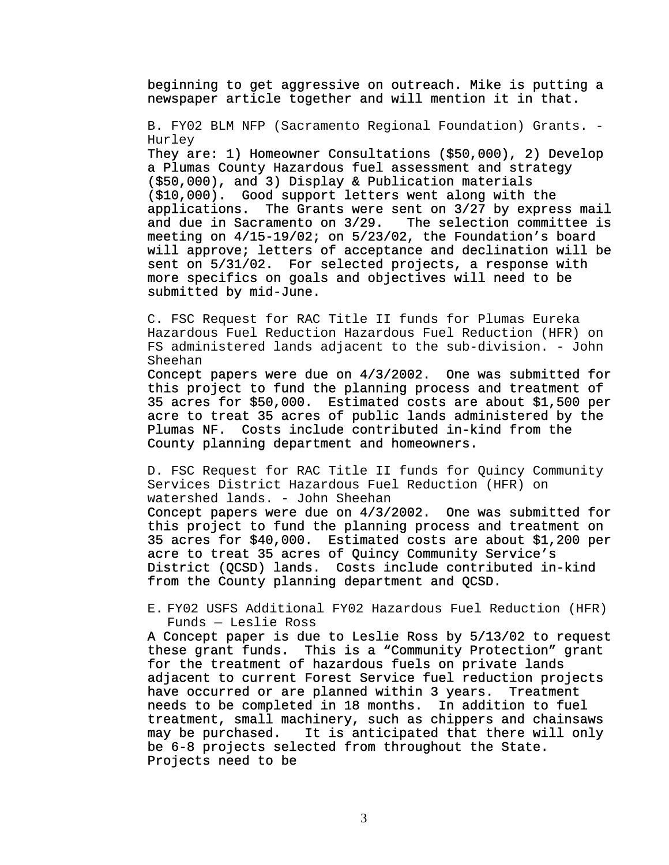beginning to get aggressive on outreach. Mike is putting a newspaper article together and will mention it in that.

B. FY02 BLM NFP (Sacramento Regional Foundation) Grants. - Hurley

They are: 1) Homeowner Consultations (\$50,000), 2) Develop a Plumas County Hazardous fuel assessment and strategy (\$50,000), and 3) Display & Publication materials (\$10,000). Good support letters went along with the applications. The Grants were sent on 3/27 by express mail<br>and due in Sacramento on 3/29. The selection committee is and due in Sacramento on  $3/29$ . meeting on 4/15-19/02; on 5/23/02, the Foundation's board will approve; letters of acceptance and declination will be sent on 5/31/02. For selected projects, a response with more specifics on goals and objectives will need to be submitted by mid-June.

C. FSC Request for RAC Title II funds for Plumas Eureka Hazardous Fuel Reduction Hazardous Fuel Reduction (HFR) on FS administered lands adjacent to the sub-division. - John Sheehan

Concept papers were due on 4/3/2002. One was submitted for this project to fund the planning process and treatment of 35 acres for \$50,000. Estimated costs are about \$1,500 per acre to treat 35 acres of public lands administered by the Plumas NF. Costs include contributed in-kind from the County planning department and homeowners.

D. FSC Request for RAC Title II funds for Quincy Community Services District Hazardous Fuel Reduction (HFR) on watershed lands. - John Sheehan

Concept papers were due on 4/3/2002. One was submitted for this project to fund the planning process and treatment on 35 acres for \$40,000. Estimated costs are about \$1,200 per acre to treat 35 acres of Quincy Community Service's District (QCSD) lands. Costs include contributed in-kind from the County planning department and QCSD.

E. FY02 USFS Additional FY02 Hazardous Fuel Reduction (HFR) Funds — Leslie Ross

A Concept paper is due to Leslie Ross by 5/13/02 to request these grant funds. This is a "Community Protection" grant for the treatment of hazardous fuels on private lands adjacent to current Forest Service fuel reduction projects have occurred or are planned within 3 years. Treatment needs to be completed in 18 months. In addition to fuel treatment, small machinery, such as chippers and chainsaws may be purchased. It is anticipated that there will only be 6-8 projects selected from throughout the State. Projects need to be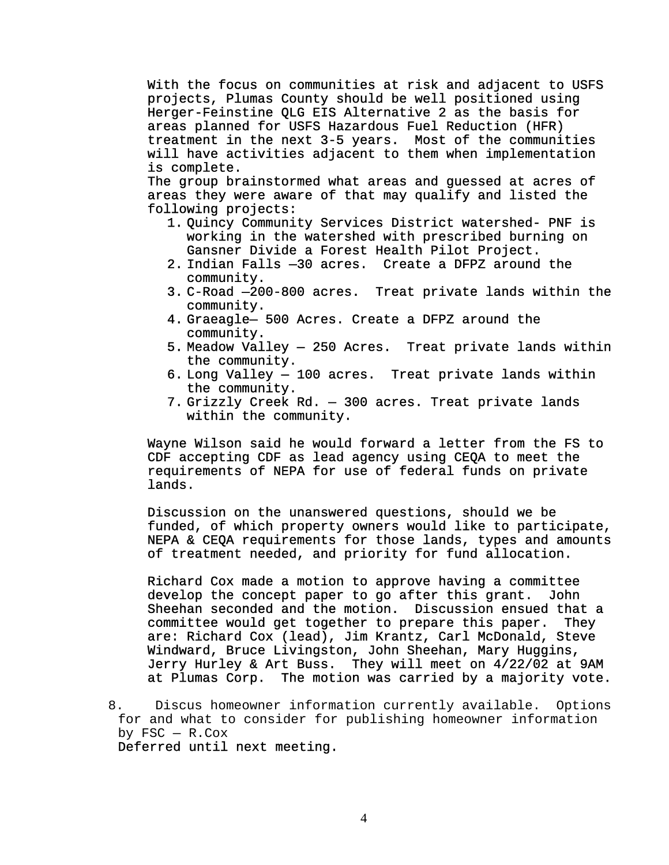With the focus on communities at risk and adjacent to USFS projects, Plumas County should be well positioned using Herger-Feinstine QLG EIS Alternative 2 as the basis for areas planned for USFS Hazardous Fuel Reduction (HFR) treatment in the next 3-5 years. Most of the communities will have activities adjacent to them when implementation is complete.

The group brainstormed what areas and guessed at acres of areas they were aware of that may qualify and listed the following projects:

- 1. Quincy Community Services District watershed- PNF is working in the watershed with prescribed burning on Gansner Divide a Forest Health Pilot Project.
- 2. Indian Falls —30 acres. Create a DFPZ around the community.
- 3. C-Road —200-800 acres. Treat private lands within the community.
- 4. Graeagle— 500 Acres. Create a DFPZ around the community.
- 5. Meadow Valley 250 Acres. Treat private lands within the community.
- 6. Long Valley 100 acres. Treat private lands within the community.
- 7. Grizzly Creek Rd. 300 acres. Treat private lands within the community.

Wayne Wilson said he would forward a letter from the FS to CDF accepting CDF as lead agency using CEQA to meet the requirements of NEPA for use of federal funds on private lands.

Discussion on the unanswered questions, should we be funded, of which property owners would like to participate, NEPA & CEQA requirements for those lands, types and amounts of treatment needed, and priority for fund allocation.

Richard Cox made a motion to approve having a committee develop the concept paper to go after this grant. John Sheehan seconded and the motion. Discussion ensued that a committee would get together to prepare this paper. They are: Richard Cox (lead), Jim Krantz, Carl McDonald, Steve Windward, Bruce Livingston, John Sheehan, Mary Huggins, Jerry Hurley & Art Buss. They will meet on 4/22/02 at 9AM at Plumas Corp. The motion was carried by a majority vote.

Deferred until next meeting.

<sup>8.</sup> Discus homeowner information currently available. Options for and what to consider for publishing homeowner information by  $FSC - R.Cox$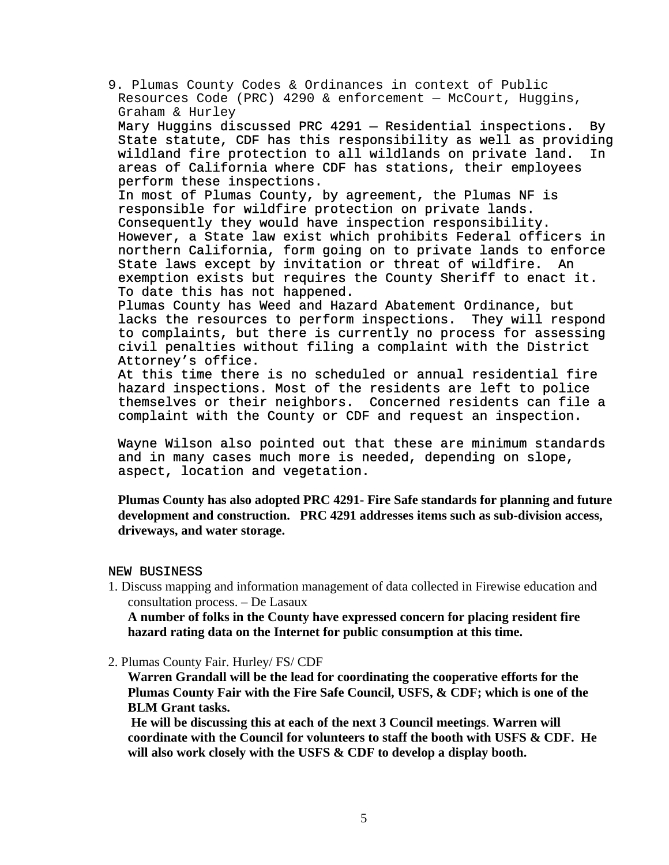9. Plumas County Codes & Ordinances in context of Public Resources Code (PRC) 4290 & enforcement — McCourt, Huggins, Graham & Hurley

Mary Huggins discussed PRC 4291 — Residential inspections. By State statute, CDF has this responsibility as well as providing wildland fire protection to all wildlands on private land. In areas of California where CDF has stations, their employees perform these inspections.

In most of Plumas County, by agreement, the Plumas NF is responsible for wildfire protection on private lands. Consequently they would have inspection responsibility. However, a State law exist which prohibits Federal officers in northern California, form going on to private lands to enforce State laws except by invitation or threat of wildfire. An exemption exists but requires the County Sheriff to enact it. To date this has not happened.

Plumas County has Weed and Hazard Abatement Ordinance, but lacks the resources to perform inspections. They will respond to complaints, but there is currently no process for assessing civil penalties without filing a complaint with the District Attorney's office.

At this time there is no scheduled or annual residential fire hazard inspections. Most of the residents are left to police themselves or their neighbors. Concerned residents can file a complaint with the County or CDF and request an inspection.

Wayne Wilson also pointed out that these are minimum standards and in many cases much more is needed, depending on slope, aspect, location and vegetation.

**Plumas County has also adopted PRC 4291- Fire Safe standards for planning and future development and construction. PRC 4291 addresses items such as sub-division access, driveways, and water storage.** 

#### NEW BUSINESS

1. Discuss mapping and information management of data collected in Firewise education and consultation process. – De Lasaux

**A number of folks in the County have expressed concern for placing resident fire hazard rating data on the Internet for public consumption at this time.** 

2. Plumas County Fair. Hurley/ FS/ CDF

**Warren Grandall will be the lead for coordinating the cooperative efforts for the Plumas County Fair with the Fire Safe Council, USFS, & CDF; which is one of the BLM Grant tasks.** 

 **He will be discussing this at each of the next 3 Council meetings**. **Warren will coordinate with the Council for volunteers to staff the booth with USFS & CDF. He will also work closely with the USFS & CDF to develop a display booth.**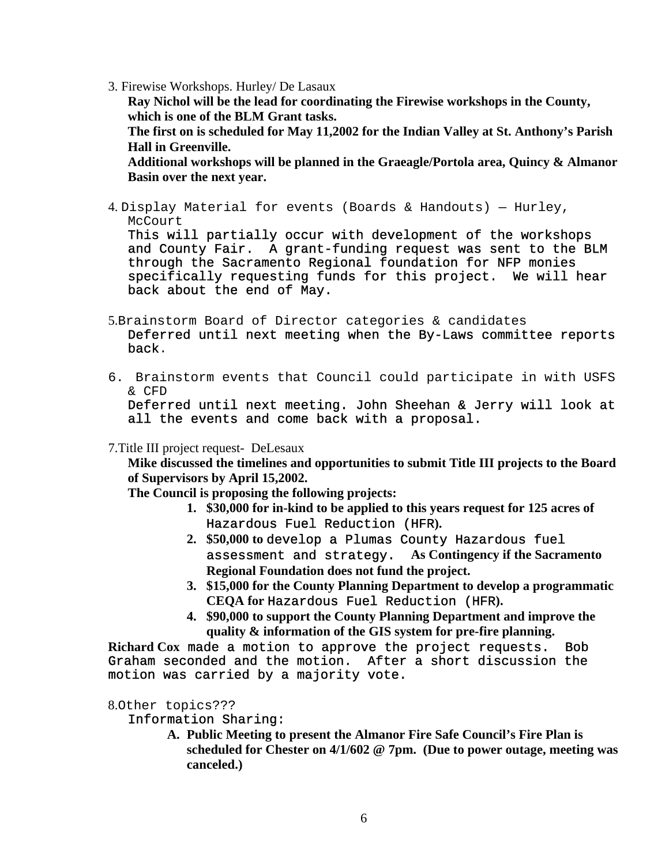3. Firewise Workshops. Hurley/ De Lasaux

**Ray Nichol will be the lead for coordinating the Firewise workshops in the County, which is one of the BLM Grant tasks.** 

**The first on is scheduled for May 11,2002 for the Indian Valley at St. Anthony's Parish Hall in Greenville.** 

**Additional workshops will be planned in the Graeagle/Portola area, Quincy & Almanor Basin over the next year.** 

4. Display Material for events (Boards & Handouts) — Hurley, McCourt

This will partially occur with development of the workshops and County Fair. A grant-funding request was sent to the BLM through the Sacramento Regional foundation for NFP monies specifically requesting funds for this project. We will hear back about the end of May.

5.Brainstorm Board of Director categories & candidates

Deferred until next meeting when the By-Laws committee reports back.

6. Brainstorm events that Council could participate in with USFS & CFD

Deferred until next meeting. John Sheehan & Jerry will look at all the events and come back with a proposal.

7.Title III project request- DeLesaux

**Mike discussed the timelines and opportunities to submit Title III projects to the Board of Supervisors by April 15,2002.** 

**The Council is proposing the following projects:** 

- **1. \$30,000 for in-kind to be applied to this years request for 125 acres of**  Hazardous Fuel Reduction (HFR**).**
- **2. \$50,000 to** develop a Plumas County Hazardous fuel assessment and strategy. **As Contingency if the Sacramento Regional Foundation does not fund the project.**
- **3. \$15,000 for the County Planning Department to develop a programmatic CEQA for** Hazardous Fuel Reduction (HFR**).**
- **4. \$90,000 to support the County Planning Department and improve the quality & information of the GIS system for pre-fire planning.**

**Richard Cox** made a motion to approve the project requests. Bob Graham seconded and the motion. After a short discussion the motion was carried by a majority vote.

8.Other topics???

### Information Sharing:

**A. Public Meeting to present the Almanor Fire Safe Council's Fire Plan is scheduled for Chester on 4/1/602 @ 7pm. (Due to power outage, meeting was canceled.)**